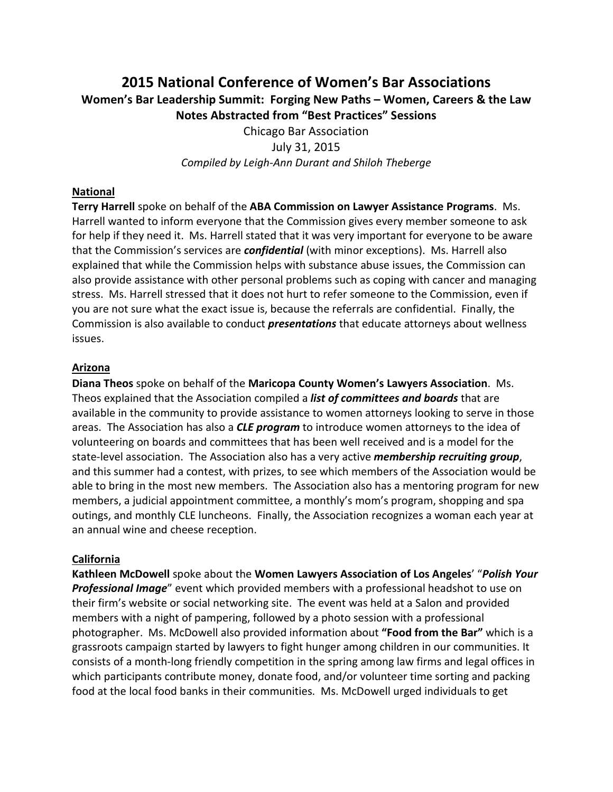# **2015 National Conference of Women's Bar Associations Women's Bar Leadership Summit: Forging New Paths – Women, Careers & the Law Notes Abstracted from "Best Practices" Sessions**

Chicago Bar Association July 31, 2015 *Compiled by Leigh-Ann Durant and Shiloh Theberge*

### **National**

**Terry Harrell** spoke on behalf of the **ABA Commission on Lawyer Assistance Programs**. Ms. Harrell wanted to inform everyone that the Commission gives every member someone to ask for help if they need it. Ms. Harrell stated that it was very important for everyone to be aware that the Commission's services are *confidential* (with minor exceptions). Ms. Harrell also explained that while the Commission helps with substance abuse issues, the Commission can also provide assistance with other personal problems such as coping with cancer and managing stress. Ms. Harrell stressed that it does not hurt to refer someone to the Commission, even if you are not sure what the exact issue is, because the referrals are confidential. Finally, the Commission is also available to conduct *presentations* that educate attorneys about wellness issues.

## **Arizona**

**Diana Theos** spoke on behalf of the **Maricopa County Women's Lawyers Association**. Ms. Theos explained that the Association compiled a *list of committees and boards* that are available in the community to provide assistance to women attorneys looking to serve in those areas. The Association has also a *CLE program* to introduce women attorneys to the idea of volunteering on boards and committees that has been well received and is a model for the state-level association. The Association also has a very active *membership recruiting group*, and this summer had a contest, with prizes, to see which members of the Association would be able to bring in the most new members. The Association also has a mentoring program for new members, a judicial appointment committee, a monthly's mom's program, shopping and spa outings, and monthly CLE luncheons. Finally, the Association recognizes a woman each year at an annual wine and cheese reception.

# **California**

**Kathleen McDowell** spoke about the **Women Lawyers Association of Los Angeles**' "*Polish Your Professional Image*" event which provided members with a professional headshot to use on their firm's website or social networking site. The event was held at a Salon and provided members with a night of pampering, followed by a photo session with a professional photographer. Ms. McDowell also provided information about **"Food from the Bar"** which is a grassroots campaign started by lawyers to fight hunger among children in our communities. It consists of a month-long friendly competition in the spring among law firms and legal offices in which participants contribute money, donate food, and/or volunteer time sorting and packing food at the local food banks in their communities. Ms. McDowell urged individuals to get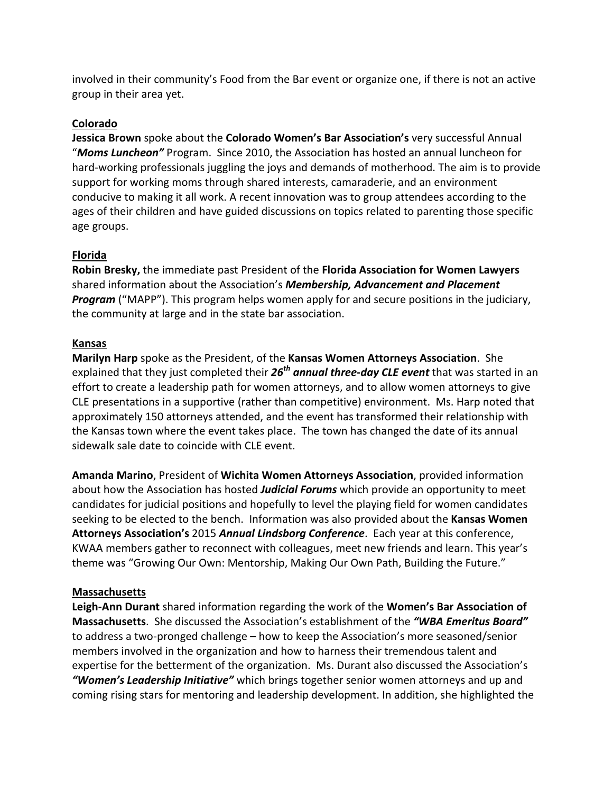involved in their community's Food from the Bar event or organize one, if there is not an active group in their area yet.

# **Colorado**

**Jessica Brown** spoke about the **Colorado Women's Bar Association's** very successful Annual "*Moms Luncheon"* Program. Since 2010, the Association has hosted an annual luncheon for hard-working professionals juggling the joys and demands of motherhood. The aim is to provide support for working moms through shared interests, camaraderie, and an environment conducive to making it all work. A recent innovation was to group attendees according to the ages of their children and have guided discussions on topics related to parenting those specific age groups.

## **Florida**

**Robin Bresky,** the immediate past President of the **Florida Association for Women Lawyers** shared information about the Association's *Membership, Advancement and Placement Program* ("MAPP"). This program helps women apply for and secure positions in the judiciary, the community at large and in the state bar association.

## **Kansas**

**Marilyn Harp** spoke as the President, of the **Kansas Women Attorneys Association**. She explained that they just completed their *26th annual three-day CLE event* that was started in an effort to create a leadership path for women attorneys, and to allow women attorneys to give CLE presentations in a supportive (rather than competitive) environment. Ms. Harp noted that approximately 150 attorneys attended, and the event has transformed their relationship with the Kansas town where the event takes place. The town has changed the date of its annual sidewalk sale date to coincide with CLE event.

**Amanda Marino**, President of **Wichita Women Attorneys Association**, provided information about how the Association has hosted *Judicial Forums* which provide an opportunity to meet candidates for judicial positions and hopefully to level the playing field for women candidates seeking to be elected to the bench. Information was also provided about the **Kansas Women Attorneys Association's** 2015 *Annual Lindsborg Conference*. Each year at this conference, KWAA members gather to reconnect with colleagues, meet new friends and learn. This year's theme was "Growing Our Own: Mentorship, Making Our Own Path, Building the Future."

#### **Massachusetts**

**Leigh-Ann Durant** shared information regarding the work of the **Women's Bar Association of Massachusetts**. She discussed the Association's establishment of the *"WBA Emeritus Board"* to address a two-pronged challenge – how to keep the Association's more seasoned/senior members involved in the organization and how to harness their tremendous talent and expertise for the betterment of the organization. Ms. Durant also discussed the Association's *"Women's Leadership Initiative"* which brings together senior women attorneys and up and coming rising stars for mentoring and leadership development. In addition, she highlighted the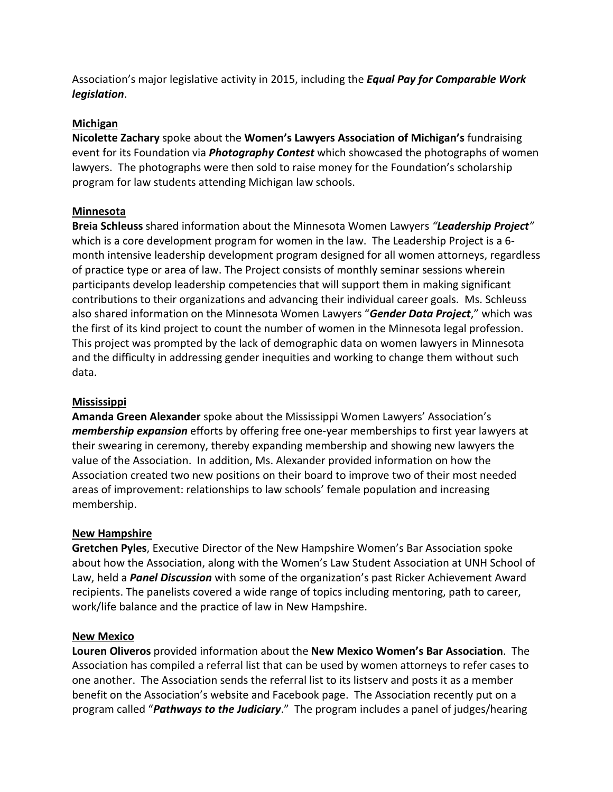Association's major legislative activity in 2015, including the *Equal Pay for Comparable Work legislation*.

# **Michigan**

**Nicolette Zachary** spoke about the **Women's Lawyers Association of Michigan's** fundraising event for its Foundation via *Photography Contest* which showcased the photographs of women lawyers. The photographs were then sold to raise money for the Foundation's scholarship program for law students attending Michigan law schools.

# **Minnesota**

**Breia Schleuss** shared information about the Minnesota Women Lawyers *"Leadership Project"* which is a core development program for women in the law. The Leadership Project is a 6 month intensive leadership development program designed for all women attorneys, regardless of practice type or area of law. The Project consists of monthly seminar sessions wherein participants develop leadership competencies that will support them in making significant contributions to their organizations and advancing their individual career goals. Ms. Schleuss also shared information on the Minnesota Women Lawyers "*Gender Data Project*," which was the first of its kind project to count the number of women in the Minnesota legal profession. This project was prompted by the lack of demographic data on women lawyers in Minnesota and the difficulty in addressing gender inequities and working to change them without such data.

### **Mississippi**

**Amanda Green Alexander** spoke about the Mississippi Women Lawyers' Association's *membership expansion* efforts by offering free one-year memberships to first year lawyers at their swearing in ceremony, thereby expanding membership and showing new lawyers the value of the Association. In addition, Ms. Alexander provided information on how the Association created two new positions on their board to improve two of their most needed areas of improvement: relationships to law schools' female population and increasing membership.

# **New Hampshire**

**Gretchen Pyles**, Executive Director of the New Hampshire Women's Bar Association spoke about how the Association, along with the Women's Law Student Association at UNH School of Law, held a *Panel Discussion* with some of the organization's past Ricker Achievement Award recipients. The panelists covered a wide range of topics including mentoring, path to career, work/life balance and the practice of law in New Hampshire.

#### **New Mexico**

**Louren Oliveros** provided information about the **New Mexico Women's Bar Association**. The Association has compiled a referral list that can be used by women attorneys to refer cases to one another. The Association sends the referral list to its listserv and posts it as a member benefit on the Association's website and Facebook page. The Association recently put on a program called "*Pathways to the Judiciary*." The program includes a panel of judges/hearing